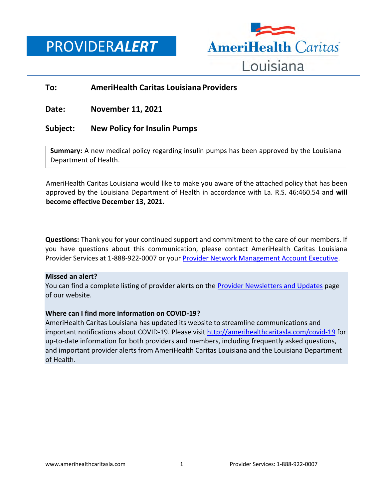PROVIDER*ALERT*



## **To: AmeriHealth Caritas Louisiana Providers**

**Date: November 11, 2021**

## **Subject: New Policy for Insulin Pumps**

**Summary:** A new medical policy regarding insulin pumps has been approved by the Louisiana Department of Health.

AmeriHealth Caritas Louisiana would like to make you aware of the attached policy that has been approved by the Louisiana Department of Health in accordance with La. R.S. 46:460.54 and **will become effective December 13, 2021.**

**Questions:** Thank you for your continued support and commitment to the care of our members. If you have questions about this communication, please contact AmeriHealth Caritas Louisiana Provider Services at 1-888-922-0007 or you[r Provider Network Management Account Executive.](http://www.amerihealthcaritasla.com/pdf/provider/account-executives.pdf)

## **Missed an alert?**

You can find a complete listing of provider alerts on the **Provider Newsletters and Updates page** of our website.

## **Where can I find more information on COVID-19?**

AmeriHealth Caritas Louisiana has updated its website to streamline communications and important notifications about COVID-19. Please visit<http://amerihealthcaritasla.com/covid-19> for up-to-date information for both providers and members, including frequently asked questions, and important provider alerts from AmeriHealth Caritas Louisiana and the Louisiana Department of Health.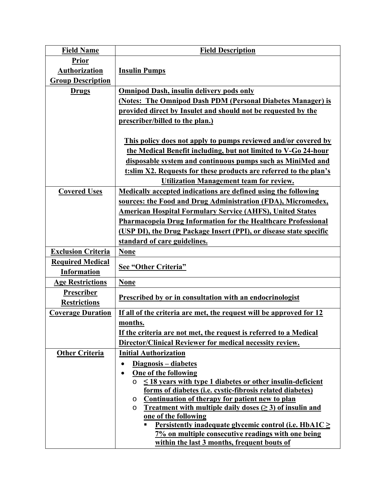| <b>Field Name</b>         | <b>Field Description</b>                                                                                                                            |
|---------------------------|-----------------------------------------------------------------------------------------------------------------------------------------------------|
| <b>Prior</b>              |                                                                                                                                                     |
| Authorization             | <b>Insulin Pumps</b>                                                                                                                                |
| <b>Group Description</b>  |                                                                                                                                                     |
| <b>Drugs</b>              | <b>Omnipod Dash, insulin delivery pods only</b>                                                                                                     |
|                           | (Notes: The Omnipod Dash PDM (Personal Diabetes Manager) is                                                                                         |
|                           | provided direct by Insulet and should not be requested by the                                                                                       |
|                           | prescriber/billed to the plan.)                                                                                                                     |
|                           |                                                                                                                                                     |
|                           | This policy does not apply to pumps reviewed and/or covered by                                                                                      |
|                           | the Medical Benefit including, but not limited to V-Go 24-hour                                                                                      |
|                           | disposable system and continuous pumps such as MiniMed and                                                                                          |
|                           | t:slim X2. Requests for these products are referred to the plan's                                                                                   |
|                           | <b>Utilization Management team for review.</b>                                                                                                      |
| <b>Covered Uses</b>       | Medically accepted indications are defined using the following                                                                                      |
|                           | sources: the Food and Drug Administration (FDA), Micromedex,                                                                                        |
|                           | <b>American Hospital Formulary Service (AHFS), United States</b>                                                                                    |
|                           | <b>Pharmacopeia Drug Information for the Healthcare Professional</b>                                                                                |
|                           | (USP DI), the Drug Package Insert (PPI), or disease state specific                                                                                  |
|                           | standard of care guidelines.                                                                                                                        |
| <b>Exclusion Criteria</b> | <b>None</b>                                                                                                                                         |
| <b>Required Medical</b>   | See "Other Criteria"                                                                                                                                |
| <b>Information</b>        |                                                                                                                                                     |
| <b>Age Restrictions</b>   | <b>None</b>                                                                                                                                         |
| Prescriber                | Prescribed by or in consultation with an endocrinologist                                                                                            |
| <b>Restrictions</b>       |                                                                                                                                                     |
| <b>Coverage Duration</b>  | If all of the criteria are met, the request will be approved for 12                                                                                 |
|                           | months.                                                                                                                                             |
|                           | If the criteria are not met, the request is referred to a Medical                                                                                   |
|                           | Director/Clinical Reviewer for medical necessity review.                                                                                            |
| <b>Other Criteria</b>     | <b>Initial Authorization</b>                                                                                                                        |
|                           | Diagnosis – diabetes<br>$\bullet$                                                                                                                   |
|                           | <b>One of the following</b><br>$\bullet$                                                                                                            |
|                           | $\leq$ 18 years with type 1 diabetes or other insulin-deficient<br>O                                                                                |
|                           | forms of diabetes (i.e. cystic-fibrosis related diabetes)                                                                                           |
|                           | <u>Continuation of therapy for patient new to plan</u><br>O<br><b>Treatment with multiple daily doses (<math>\geq</math> 3) of insulin and</b><br>O |
|                           | one of the following                                                                                                                                |
|                           | <u>Persistently inadequate glycemic control (i.e. HbA1C <math>\geq</math></u>                                                                       |
|                           | 7% on multiple consecutive readings with one being                                                                                                  |
|                           | within the last 3 months, frequent bouts of                                                                                                         |